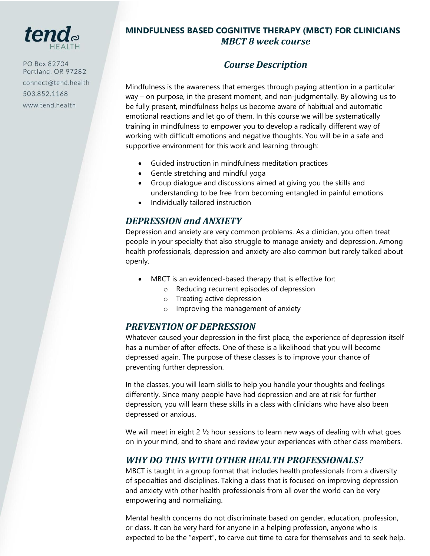

PO Box 82704 Portland, OR 97282 connect@tend.health 503.852.1168 www.tend.health

### **MINDFULNESS BASED COGNITIVE THERAPY (MBCT) FOR CLINICIANS**  *MBCT 8 week course*

# *Course Description*

Mindfulness is the awareness that emerges through paying attention in a particular way – on purpose, in the present moment, and non-judgmentally. By allowing us to be fully present, mindfulness helps us become aware of habitual and automatic emotional reactions and let go of them. In this course we will be systematically training in mindfulness to empower you to develop a radically different way of working with difficult emotions and negative thoughts. You will be in a safe and supportive environment for this work and learning through:

- Guided instruction in mindfulness meditation practices
- Gentle stretching and mindful yoga
- Group dialogue and discussions aimed at giving you the skills and understanding to be free from becoming entangled in painful emotions
- Individually tailored instruction

## *DEPRESSION and ANXIETY*

Depression and anxiety are very common problems. As a clinician, you often treat people in your specialty that also struggle to manage anxiety and depression. Among health professionals, depression and anxiety are also common but rarely talked about openly.

- MBCT is an evidenced-based therapy that is effective for:
	- o Reducing recurrent episodes of depression
	- o Treating active depression
	- o Improving the management of anxiety

### *PREVENTION OF DEPRESSION*

Whatever caused your depression in the first place, the experience of depression itself has a number of after effects. One of these is a likelihood that you will become depressed again. The purpose of these classes is to improve your chance of preventing further depression.

In the classes, you will learn skills to help you handle your thoughts and feelings differently. Since many people have had depression and are at risk for further depression, you will learn these skills in a class with clinicians who have also been depressed or anxious.

We will meet in eight 2 1/2 hour sessions to learn new ways of dealing with what goes on in your mind, and to share and review your experiences with other class members.

## *WHY DO THIS WITH OTHER HEALTH PROFESSIONALS?*

MBCT is taught in a group format that includes health professionals from a diversity of specialties and disciplines. Taking a class that is focused on improving depression and anxiety with other health professionals from all over the world can be very empowering and normalizing.

Mental health concerns do not discriminate based on gender, education, profession, or class. It can be very hard for anyone in a helping profession, anyone who is expected to be the "expert", to carve out time to care for themselves and to seek help.